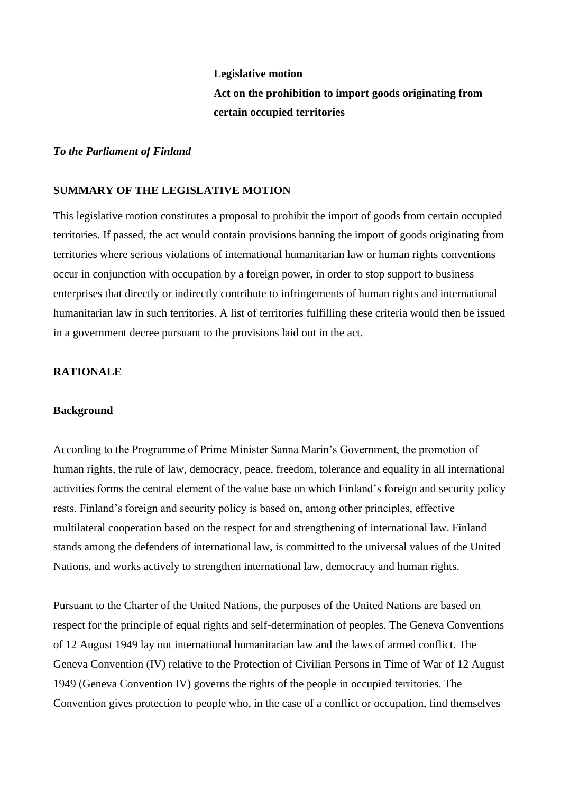# **Legislative motion Act on the prohibition to import goods originating from certain occupied territories**

## *To the Parliament of Finland*

## **SUMMARY OF THE LEGISLATIVE MOTION**

This legislative motion constitutes a proposal to prohibit the import of goods from certain occupied territories. If passed, the act would contain provisions banning the import of goods originating from territories where serious violations of international humanitarian law or human rights conventions occur in conjunction with occupation by a foreign power, in order to stop support to business enterprises that directly or indirectly contribute to infringements of human rights and international humanitarian law in such territories. A list of territories fulfilling these criteria would then be issued in a government decree pursuant to the provisions laid out in the act.

# **RATIONALE**

# **Background**

According to the Programme of Prime Minister Sanna Marin's Government, the promotion of human rights, the rule of law, democracy, peace, freedom, tolerance and equality in all international activities forms the central element of the value base on which Finland's foreign and security policy rests. Finland's foreign and security policy is based on, among other principles, effective multilateral cooperation based on the respect for and strengthening of international law. Finland stands among the defenders of international law, is committed to the universal values of the United Nations, and works actively to strengthen international law, democracy and human rights.

Pursuant to the Charter of the United Nations, the purposes of the United Nations are based on respect for the principle of equal rights and self-determination of peoples. The Geneva Conventions of 12 August 1949 lay out international humanitarian law and the laws of armed conflict. The Geneva Convention (IV) relative to the Protection of Civilian Persons in Time of War of 12 August 1949 (Geneva Convention IV) governs the rights of the people in occupied territories. The Convention gives protection to people who, in the case of a conflict or occupation, find themselves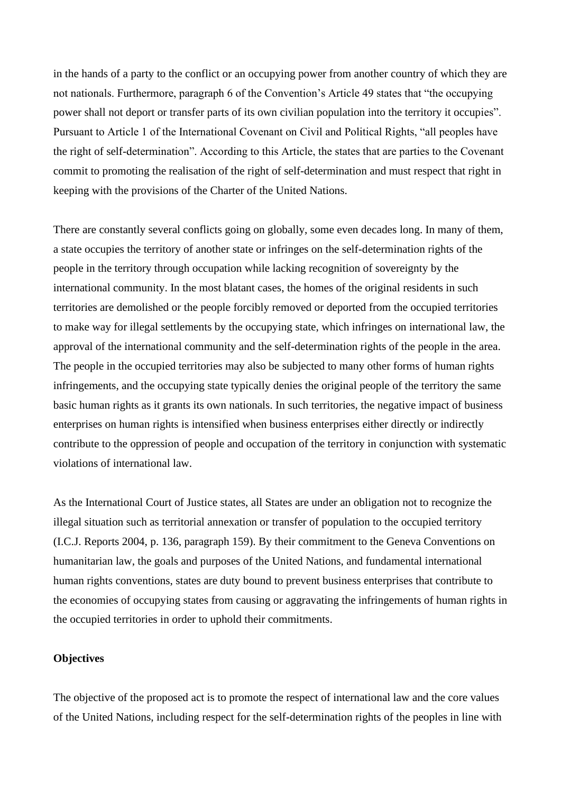in the hands of a party to the conflict or an occupying power from another country of which they are not nationals. Furthermore, paragraph 6 of the Convention's Article 49 states that "the occupying power shall not deport or transfer parts of its own civilian population into the territory it occupies". Pursuant to Article 1 of the International Covenant on Civil and Political Rights, "all peoples have the right of self-determination". According to this Article, the states that are parties to the Covenant commit to promoting the realisation of the right of self-determination and must respect that right in keeping with the provisions of the Charter of the United Nations.

There are constantly several conflicts going on globally, some even decades long. In many of them, a state occupies the territory of another state or infringes on the self-determination rights of the people in the territory through occupation while lacking recognition of sovereignty by the international community. In the most blatant cases, the homes of the original residents in such territories are demolished or the people forcibly removed or deported from the occupied territories to make way for illegal settlements by the occupying state, which infringes on international law, the approval of the international community and the self-determination rights of the people in the area. The people in the occupied territories may also be subjected to many other forms of human rights infringements, and the occupying state typically denies the original people of the territory the same basic human rights as it grants its own nationals. In such territories, the negative impact of business enterprises on human rights is intensified when business enterprises either directly or indirectly contribute to the oppression of people and occupation of the territory in conjunction with systematic violations of international law.

As the International Court of Justice states, all States are under an obligation not to recognize the illegal situation such as territorial annexation or transfer of population to the occupied territory (I.C.J. Reports 2004, p. 136, paragraph 159). By their commitment to the Geneva Conventions on humanitarian law, the goals and purposes of the United Nations, and fundamental international human rights conventions, states are duty bound to prevent business enterprises that contribute to the economies of occupying states from causing or aggravating the infringements of human rights in the occupied territories in order to uphold their commitments.

#### **Objectives**

The objective of the proposed act is to promote the respect of international law and the core values of the United Nations, including respect for the self-determination rights of the peoples in line with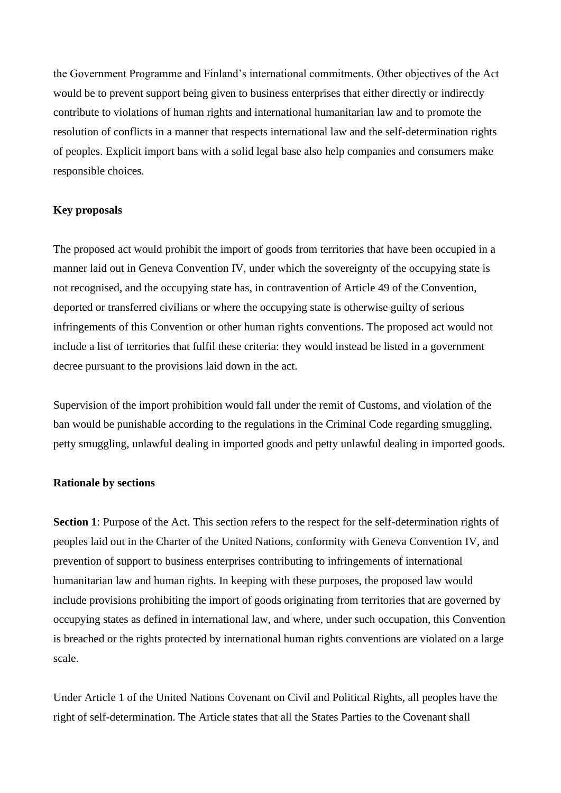the Government Programme and Finland's international commitments. Other objectives of the Act would be to prevent support being given to business enterprises that either directly or indirectly contribute to violations of human rights and international humanitarian law and to promote the resolution of conflicts in a manner that respects international law and the self-determination rights of peoples. Explicit import bans with a solid legal base also help companies and consumers make responsible choices.

### **Key proposals**

The proposed act would prohibit the import of goods from territories that have been occupied in a manner laid out in Geneva Convention IV, under which the sovereignty of the occupying state is not recognised, and the occupying state has, in contravention of Article 49 of the Convention, deported or transferred civilians or where the occupying state is otherwise guilty of serious infringements of this Convention or other human rights conventions. The proposed act would not include a list of territories that fulfil these criteria: they would instead be listed in a government decree pursuant to the provisions laid down in the act.

Supervision of the import prohibition would fall under the remit of Customs, and violation of the ban would be punishable according to the regulations in the Criminal Code regarding smuggling, petty smuggling, unlawful dealing in imported goods and petty unlawful dealing in imported goods.

#### **Rationale by sections**

**Section 1**: Purpose of the Act. This section refers to the respect for the self-determination rights of peoples laid out in the Charter of the United Nations, conformity with Geneva Convention IV, and prevention of support to business enterprises contributing to infringements of international humanitarian law and human rights. In keeping with these purposes, the proposed law would include provisions prohibiting the import of goods originating from territories that are governed by occupying states as defined in international law, and where, under such occupation, this Convention is breached or the rights protected by international human rights conventions are violated on a large scale.

Under Article 1 of the United Nations Covenant on Civil and Political Rights, all peoples have the right of self-determination. The Article states that all the States Parties to the Covenant shall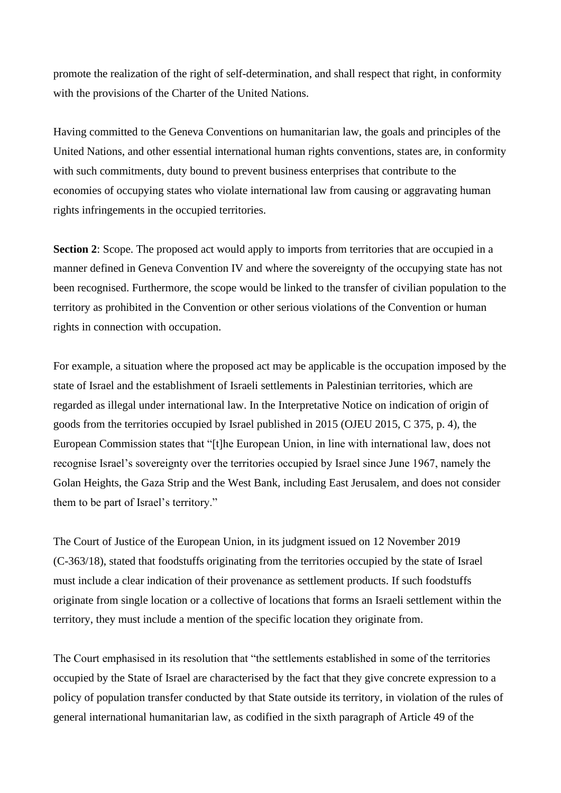promote the realization of the right of self-determination, and shall respect that right, in conformity with the provisions of the Charter of the United Nations.

Having committed to the Geneva Conventions on humanitarian law, the goals and principles of the United Nations, and other essential international human rights conventions, states are, in conformity with such commitments, duty bound to prevent business enterprises that contribute to the economies of occupying states who violate international law from causing or aggravating human rights infringements in the occupied territories.

**Section 2**: Scope. The proposed act would apply to imports from territories that are occupied in a manner defined in Geneva Convention IV and where the sovereignty of the occupying state has not been recognised. Furthermore, the scope would be linked to the transfer of civilian population to the territory as prohibited in the Convention or other serious violations of the Convention or human rights in connection with occupation.

For example, a situation where the proposed act may be applicable is the occupation imposed by the state of Israel and the establishment of Israeli settlements in Palestinian territories, which are regarded as illegal under international law. In the Interpretative Notice on indication of origin of goods from the territories occupied by Israel published in 2015 (OJEU 2015, C 375, p. 4), the European Commission states that "[t]he European Union, in line with international law, does not recognise Israel's sovereignty over the territories occupied by Israel since June 1967, namely the Golan Heights, the Gaza Strip and the West Bank, including East Jerusalem, and does not consider them to be part of Israel's territory."

The Court of Justice of the European Union, in its judgment issued on 12 November 2019 (C-363/18), stated that foodstuffs originating from the territories occupied by the state of Israel must include a clear indication of their provenance as settlement products. If such foodstuffs originate from single location or a collective of locations that forms an Israeli settlement within the territory, they must include a mention of the specific location they originate from.

The Court emphasised in its resolution that "the settlements established in some of the territories occupied by the State of Israel are characterised by the fact that they give concrete expression to a policy of population transfer conducted by that State outside its territory, in violation of the rules of general international humanitarian law, as codified in the sixth paragraph of Article 49 of the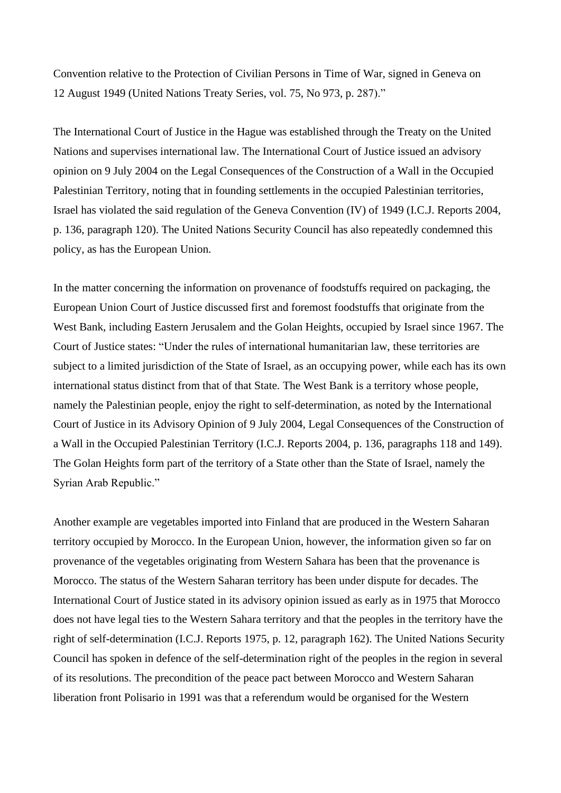Convention relative to the Protection of Civilian Persons in Time of War, signed in Geneva on 12 August 1949 (United Nations Treaty Series, vol. 75, No 973, p. 287)."

The International Court of Justice in the Hague was established through the Treaty on the United Nations and supervises international law. The International Court of Justice issued an advisory opinion on 9 July 2004 on the Legal Consequences of the Construction of a Wall in the Occupied Palestinian Territory, noting that in founding settlements in the occupied Palestinian territories, Israel has violated the said regulation of the Geneva Convention (IV) of 1949 (I.C.J. Reports 2004, p. 136, paragraph 120). The United Nations Security Council has also repeatedly condemned this policy, as has the European Union.

In the matter concerning the information on provenance of foodstuffs required on packaging, the European Union Court of Justice discussed first and foremost foodstuffs that originate from the West Bank, including Eastern Jerusalem and the Golan Heights, occupied by Israel since 1967. The Court of Justice states: "Under the rules of international humanitarian law, these territories are subject to a limited jurisdiction of the State of Israel, as an occupying power, while each has its own international status distinct from that of that State. The West Bank is a territory whose people, namely the Palestinian people, enjoy the right to self-determination, as noted by the International Court of Justice in its Advisory Opinion of 9 July 2004, Legal Consequences of the Construction of a Wall in the Occupied Palestinian Territory (I.C.J. Reports 2004, p. 136, paragraphs 118 and 149). The Golan Heights form part of the territory of a State other than the State of Israel, namely the Syrian Arab Republic."

Another example are vegetables imported into Finland that are produced in the Western Saharan territory occupied by Morocco. In the European Union, however, the information given so far on provenance of the vegetables originating from Western Sahara has been that the provenance is Morocco. The status of the Western Saharan territory has been under dispute for decades. The International Court of Justice stated in its advisory opinion issued as early as in 1975 that Morocco does not have legal ties to the Western Sahara territory and that the peoples in the territory have the right of self-determination (I.C.J. Reports 1975, p. 12, paragraph 162). The United Nations Security Council has spoken in defence of the self-determination right of the peoples in the region in several of its resolutions. The precondition of the peace pact between Morocco and Western Saharan liberation front Polisario in 1991 was that a referendum would be organised for the Western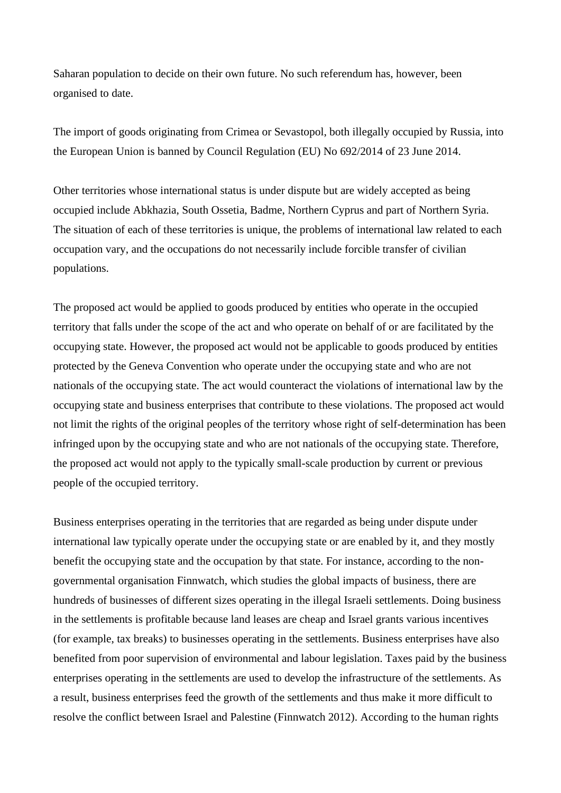Saharan population to decide on their own future. No such referendum has, however, been organised to date.

The import of goods originating from Crimea or Sevastopol, both illegally occupied by Russia, into the European Union is banned by Council Regulation (EU) No 692/2014 of 23 June 2014.

Other territories whose international status is under dispute but are widely accepted as being occupied include Abkhazia, South Ossetia, Badme, Northern Cyprus and part of Northern Syria. The situation of each of these territories is unique, the problems of international law related to each occupation vary, and the occupations do not necessarily include forcible transfer of civilian populations.

The proposed act would be applied to goods produced by entities who operate in the occupied territory that falls under the scope of the act and who operate on behalf of or are facilitated by the occupying state. However, the proposed act would not be applicable to goods produced by entities protected by the Geneva Convention who operate under the occupying state and who are not nationals of the occupying state. The act would counteract the violations of international law by the occupying state and business enterprises that contribute to these violations. The proposed act would not limit the rights of the original peoples of the territory whose right of self-determination has been infringed upon by the occupying state and who are not nationals of the occupying state. Therefore, the proposed act would not apply to the typically small-scale production by current or previous people of the occupied territory.

Business enterprises operating in the territories that are regarded as being under dispute under international law typically operate under the occupying state or are enabled by it, and they mostly benefit the occupying state and the occupation by that state. For instance, according to the nongovernmental organisation Finnwatch, which studies the global impacts of business, there are hundreds of businesses of different sizes operating in the illegal Israeli settlements. Doing business in the settlements is profitable because land leases are cheap and Israel grants various incentives (for example, tax breaks) to businesses operating in the settlements. Business enterprises have also benefited from poor supervision of environmental and labour legislation. Taxes paid by the business enterprises operating in the settlements are used to develop the infrastructure of the settlements. As a result, business enterprises feed the growth of the settlements and thus make it more difficult to resolve the conflict between Israel and Palestine (Finnwatch 2012). According to the human rights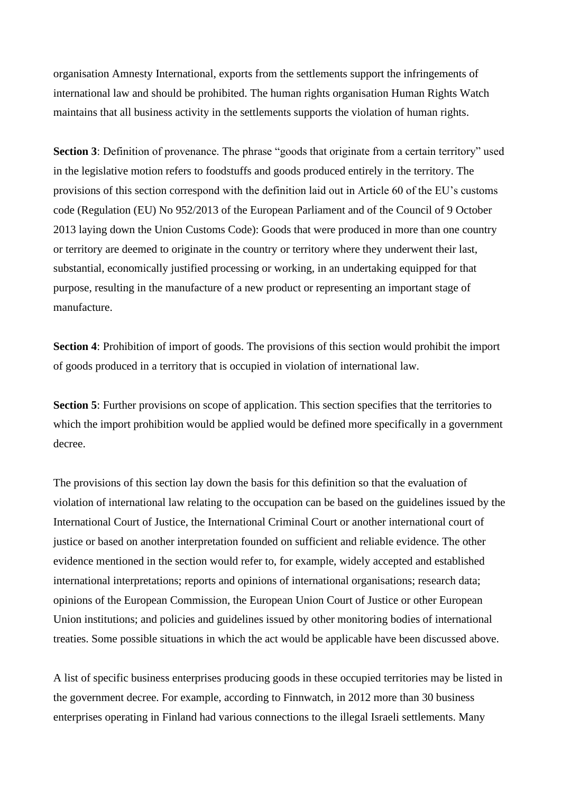organisation Amnesty International, exports from the settlements support the infringements of international law and should be prohibited. The human rights organisation Human Rights Watch maintains that all business activity in the settlements supports the violation of human rights.

**Section 3**: Definition of provenance. The phrase "goods that originate from a certain territory" used in the legislative motion refers to foodstuffs and goods produced entirely in the territory. The provisions of this section correspond with the definition laid out in Article 60 of the EU's customs code (Regulation (EU) No 952/2013 of the European Parliament and of the Council of 9 October 2013 laying down the Union Customs Code): Goods that were produced in more than one country or territory are deemed to originate in the country or territory where they underwent their last, substantial, economically justified processing or working, in an undertaking equipped for that purpose, resulting in the manufacture of a new product or representing an important stage of manufacture.

**Section 4**: Prohibition of import of goods. The provisions of this section would prohibit the import of goods produced in a territory that is occupied in violation of international law.

**Section 5**: Further provisions on scope of application. This section specifies that the territories to which the import prohibition would be applied would be defined more specifically in a government decree.

The provisions of this section lay down the basis for this definition so that the evaluation of violation of international law relating to the occupation can be based on the guidelines issued by the International Court of Justice, the International Criminal Court or another international court of justice or based on another interpretation founded on sufficient and reliable evidence. The other evidence mentioned in the section would refer to, for example, widely accepted and established international interpretations; reports and opinions of international organisations; research data; opinions of the European Commission, the European Union Court of Justice or other European Union institutions; and policies and guidelines issued by other monitoring bodies of international treaties. Some possible situations in which the act would be applicable have been discussed above.

A list of specific business enterprises producing goods in these occupied territories may be listed in the government decree. For example, according to Finnwatch, in 2012 more than 30 business enterprises operating in Finland had various connections to the illegal Israeli settlements. Many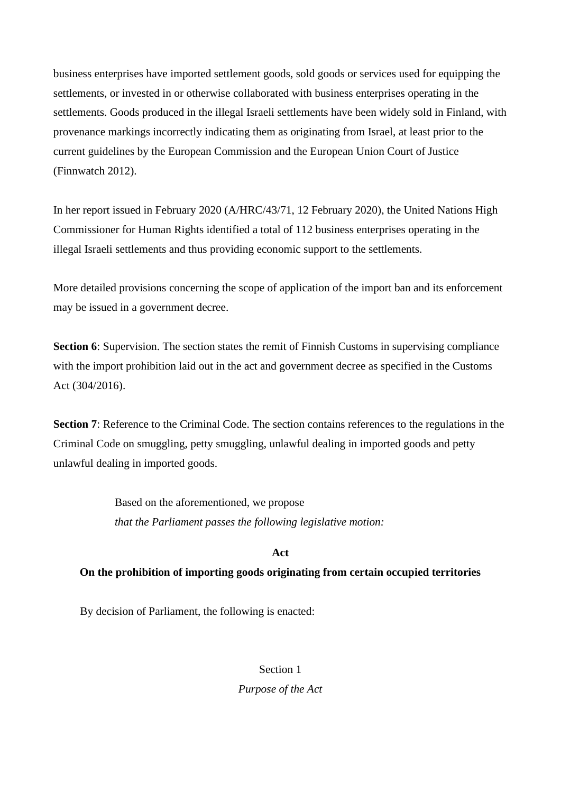business enterprises have imported settlement goods, sold goods or services used for equipping the settlements, or invested in or otherwise collaborated with business enterprises operating in the settlements. Goods produced in the illegal Israeli settlements have been widely sold in Finland, with provenance markings incorrectly indicating them as originating from Israel, at least prior to the current guidelines by the European Commission and the European Union Court of Justice (Finnwatch 2012).

In her report issued in February 2020 (A/HRC/43/71, 12 February 2020), the United Nations High Commissioner for Human Rights identified a total of 112 business enterprises operating in the illegal Israeli settlements and thus providing economic support to the settlements.

More detailed provisions concerning the scope of application of the import ban and its enforcement may be issued in a government decree.

**Section 6**: Supervision. The section states the remit of Finnish Customs in supervising compliance with the import prohibition laid out in the act and government decree as specified in the Customs Act (304/2016).

**Section 7**: Reference to the Criminal Code. The section contains references to the regulations in the Criminal Code on smuggling, petty smuggling, unlawful dealing in imported goods and petty unlawful dealing in imported goods.

> Based on the aforementioned, we propose *that the Parliament passes the following legislative motion:*

# **Act**

# **On the prohibition of importing goods originating from certain occupied territories**

By decision of Parliament, the following is enacted:

Section 1 *Purpose of the Act*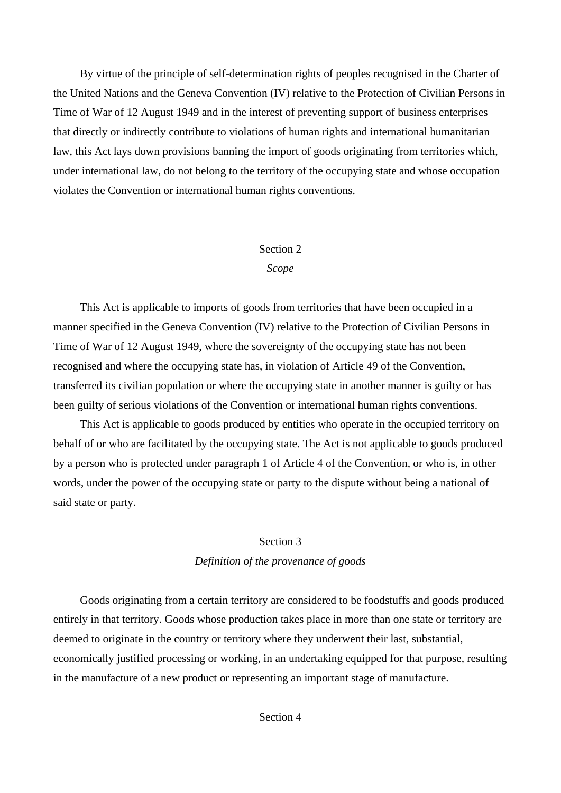By virtue of the principle of self-determination rights of peoples recognised in the Charter of the United Nations and the Geneva Convention (IV) relative to the Protection of Civilian Persons in Time of War of 12 August 1949 and in the interest of preventing support of business enterprises that directly or indirectly contribute to violations of human rights and international humanitarian law, this Act lays down provisions banning the import of goods originating from territories which, under international law, do not belong to the territory of the occupying state and whose occupation violates the Convention or international human rights conventions.

#### Section 2

#### *Scope*

This Act is applicable to imports of goods from territories that have been occupied in a manner specified in the Geneva Convention (IV) relative to the Protection of Civilian Persons in Time of War of 12 August 1949, where the sovereignty of the occupying state has not been recognised and where the occupying state has, in violation of Article 49 of the Convention, transferred its civilian population or where the occupying state in another manner is guilty or has been guilty of serious violations of the Convention or international human rights conventions.

This Act is applicable to goods produced by entities who operate in the occupied territory on behalf of or who are facilitated by the occupying state. The Act is not applicable to goods produced by a person who is protected under paragraph 1 of Article 4 of the Convention, or who is, in other words, under the power of the occupying state or party to the dispute without being a national of said state or party.

#### Section 3

# *Definition of the provenance of goods*

Goods originating from a certain territory are considered to be foodstuffs and goods produced entirely in that territory. Goods whose production takes place in more than one state or territory are deemed to originate in the country or territory where they underwent their last, substantial, economically justified processing or working, in an undertaking equipped for that purpose, resulting in the manufacture of a new product or representing an important stage of manufacture.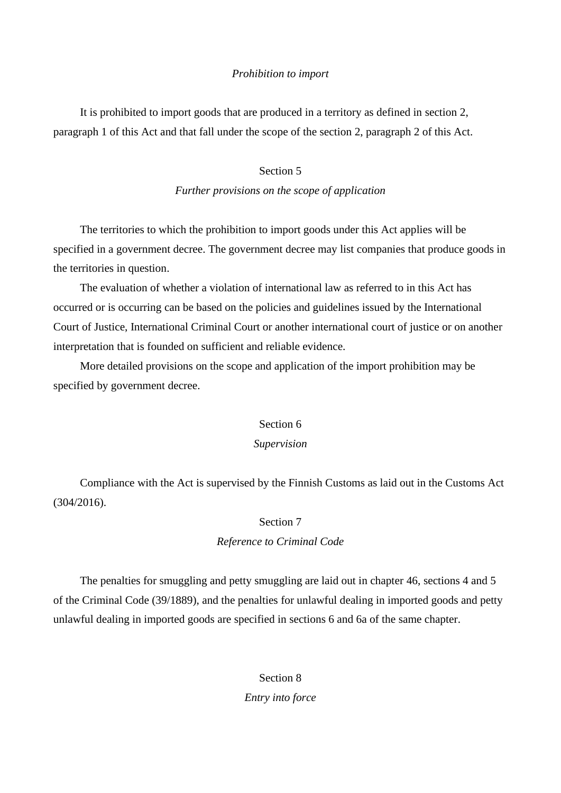#### *Prohibition to import*

It is prohibited to import goods that are produced in a territory as defined in section 2, paragraph 1 of this Act and that fall under the scope of the section 2, paragraph 2 of this Act.

# Section 5

## *Further provisions on the scope of application*

The territories to which the prohibition to import goods under this Act applies will be specified in a government decree. The government decree may list companies that produce goods in the territories in question.

The evaluation of whether a violation of international law as referred to in this Act has occurred or is occurring can be based on the policies and guidelines issued by the International Court of Justice, International Criminal Court or another international court of justice or on another interpretation that is founded on sufficient and reliable evidence.

More detailed provisions on the scope and application of the import prohibition may be specified by government decree.

# Section 6

#### *Supervision*

Compliance with the Act is supervised by the Finnish Customs as laid out in the Customs Act (304/2016).

# Section 7

### *Reference to Criminal Code*

The penalties for smuggling and petty smuggling are laid out in chapter 46, sections 4 and 5 of the Criminal Code (39/1889), and the penalties for unlawful dealing in imported goods and petty unlawful dealing in imported goods are specified in sections 6 and 6a of the same chapter.

> Section 8 *Entry into force*